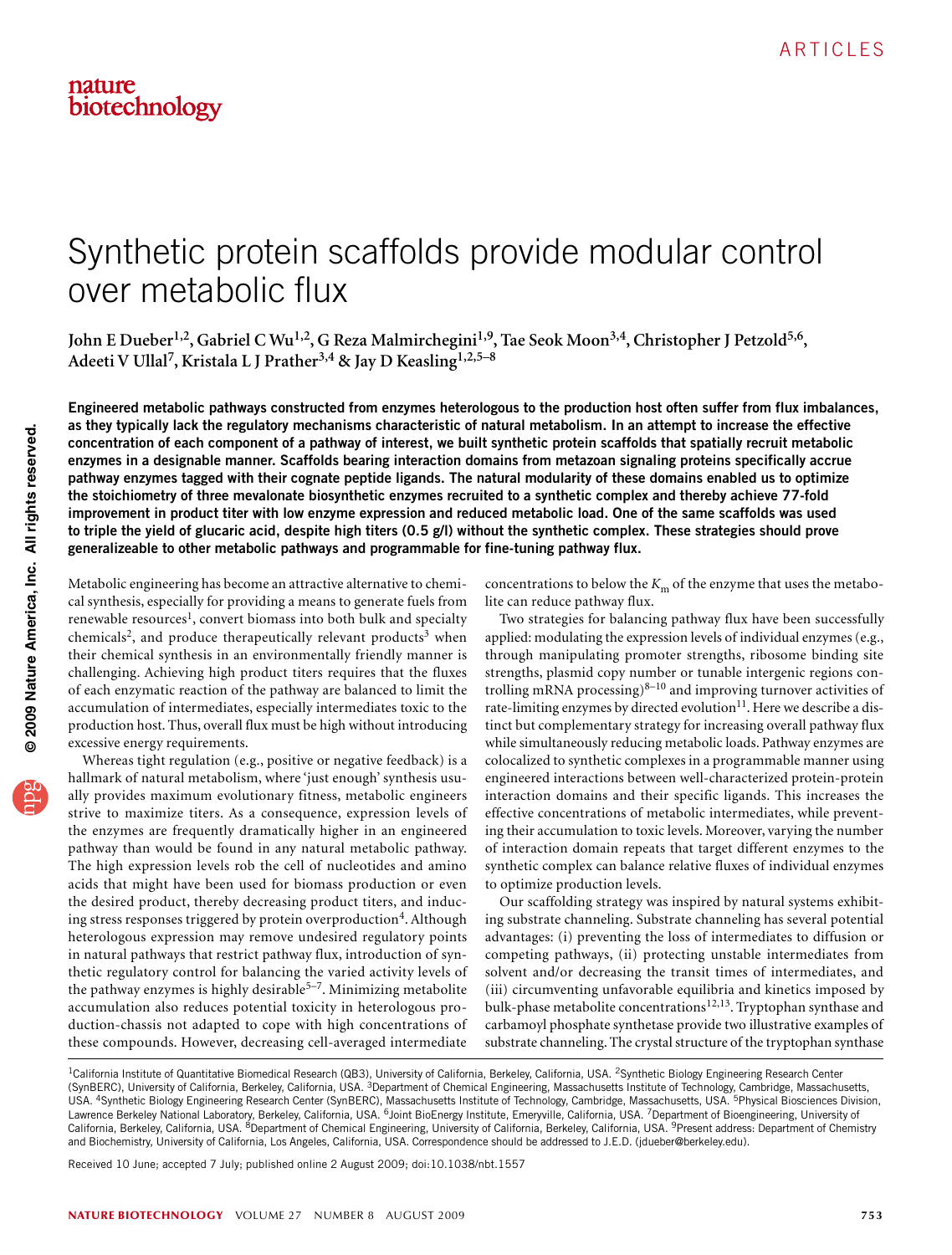# Synthetic protein scaffolds provide modular control over metabolic flux

John E Dueber<sup>1,2</sup>, Gabriel C Wu<sup>1,2</sup>, G Reza Malmirchegini<sup>1,9</sup>, Tae Seok Moon<sup>3,4</sup>, Christopher J Petzold<sup>5,6</sup>, **Adeeti V Ullal7, Kristala L J Prather3,4 & Jay D Keasling1,2,5–8**

**Engineered metabolic pathways constructed from enzymes heterologous to the production host often suffer from flux imbalances, as they typically lack the regulatory mechanisms characteristic of natural metabolism. In an attempt to increase the effective concentration of each component of a pathway of interest, we built synthetic protein scaffolds that spatially recruit metabolic enzymes in a designable manner. Scaffolds bearing interaction domains from metazoan signaling proteins specifically accrue pathway enzymes tagged with their cognate peptide ligands. The natural modularity of these domains enabled us to optimize the stoichiometry of three mevalonate biosynthetic enzymes recruited to a synthetic complex and thereby achieve 77-fold improvement in product titer with low enzyme expression and reduced metabolic load. One of the same scaffolds was used to triple the yield of glucaric acid, despite high titers (0.5 g/l) without the synthetic complex. These strategies should prove generalizeable to other metabolic pathways and programmable for fine-tuning pathway flux.**

Metabolic engineering has become an attractive alternative to chemical synthesis, especially for providing a means to generate fuels from renewable resources<sup>[1](#page-5-0)</sup>, convert biomass into both bulk and specialty chemicals<sup>[2](#page-5-1)</sup>, and produce therapeutically relevant products<sup>3</sup> when their chemical synthesis in an environmentally friendly manner is challenging. Achieving high product titers requires that the fluxes of each enzymatic reaction of the pathway are balanced to limit the accumulation of intermediates, especially intermediates toxic to the production host. Thus, overall flux must be high without introducing excessive energy requirements.

Whereas tight regulation (e.g., positive or negative feedback) is a hallmark of natural metabolism, where 'just enough' synthesis usually provides maximum evolutionary fitness, metabolic engineers strive to maximize titers. As a consequence, expression levels of the enzymes are frequently dramatically higher in an engineered pathway than would be found in any natural metabolic pathway. The high expression levels rob the cell of nucleotides and amino acids that might have been used for biomass production or even the desired product, thereby decreasing product titers, and inducing stress responses triggered by protein overproduction<sup>4</sup>. Although heterologous expression may remove undesired regulatory points in natural pathways that restrict pathway flux, introduction of synthetic regulatory control for balancing the varied activity levels of the pathway enzymes is highly desirable<sup>5-7</sup>. Minimizing metabolite accumulation also reduces potential toxicity in heterologous production-chassis not adapted to cope with high concentrations of these compounds. However, decreasing cell-averaged intermediate

concentrations to below the  $K<sub>m</sub>$  of the enzyme that uses the metabolite can reduce pathway flux.

Two strategies for balancing pathway flux have been successfully applied: modulating the expression levels of individual enzymes (e.g., through manipulating promoter strengths, ribosome binding site strengths, plasmid copy number or tunable intergenic regions controlling mRNA processing) $8-10$  and improving turnover activities of rate-limiting enzymes by directed evolution<sup>11</sup>. Here we describe a distinct but complementary strategy for increasing overall pathway flux while simultaneously reducing metabolic loads. Pathway enzymes are colocalized to synthetic complexes in a programmable manner using engineered interactions between well-characterized protein-protein interaction domains and their specific ligands. This increases the effective concentrations of metabolic intermediates, while preventing their accumulation to toxic levels. Moreover, varying the number of interaction domain repeats that target different enzymes to the synthetic complex can balance relative fluxes of individual enzymes to optimize production levels.

Our scaffolding strategy was inspired by natural systems exhibiting substrate channeling. Substrate channeling has several potential advantages: (i) preventing the loss of intermediates to diffusion or competing pathways, (ii) protecting unstable intermediates from solvent and/or decreasing the transit times of intermediates, and (iii) circumventing unfavorable equilibria and kinetics imposed by bulk-phase metabolite concentrations<sup>12,13</sup>. Tryptophan synthase and carbamoyl phosphate synthetase provide two illustrative examples of substrate channeling. The crystal structure of the tryptophan synthase

Received 10 June; accepted 7 July; published online 2 August 2009; [doi:10.1038/nbt.1557](http://www.nature.com/10.1038/nbt.1557)

<sup>&</sup>lt;sup>1</sup>California Institute of Quantitative Biomedical Research (QB3), University of California, Berkeley, California, USA. <sup>2</sup>Synthetic Biology Engineering Research Center (SynBERC), University of California, Berkeley, California, USA. <sup>3</sup>Department of Chemical Engineering, Massachusetts Institute of Technology, Cambridge, Massachusetts, USA. <sup>4</sup>Synthetic Biology Engineering Research Center (SynBERC), Massachusetts Institute of Technology, Cambridge, Massachusetts, USA. <sup>5</sup>Physical Biosciences Division, Lawrence Berkeley National Laboratory, Berkeley, California, USA. <sup>6</sup>Joint BioEnergy Institute, Emeryville, California, USA. <sup>7</sup>Department of Bioengineering, University of California, Berkeley, California, USA. <sup>8</sup>Department of Chemical Engineering, University of California, Berkeley, California, USA. <sup>9</sup>Present address: Department of Chemistry and Biochemistry, University of California, Los Angeles, California, USA. Correspondence should be addressed to J.E.D. (jdueber@berkeley.edu).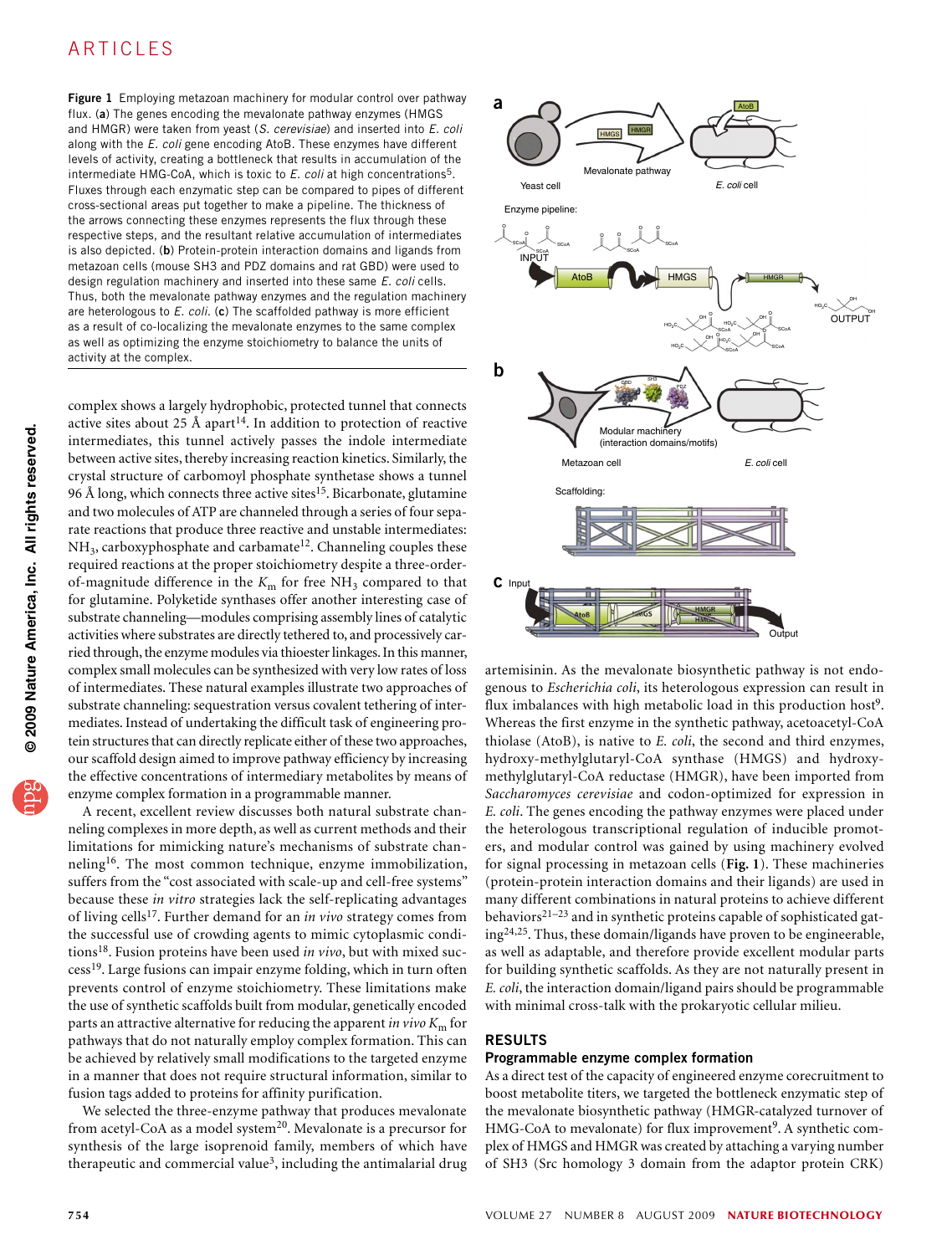# **ARTICLES**

<span id="page-1-0"></span>**Figure 1** Employing metazoan machinery for modular control over pathway flux. (**a**) The genes encoding the mevalonate pathway enzymes (HMGS and HMGR) were taken from yeast (*S. cerevisiae*) and inserted into *E. coli* along with the *E. coli* gene encoding AtoB. These enzymes have different levels of activity, creating a bottleneck that results in accumulation of the intermediate HMG-CoA, which is toxic to *E. coli* at high concentrations<sup>[5](#page-5-4)</sup>. Fluxes through each enzymatic step can be compared to pipes of different cross-sectional areas put together to make a pipeline. The thickness of the arrows connecting these enzymes represents the flux through these respective steps, and the resultant relative accumulation of intermediates is also depicted. (**b**) Protein-protein interaction domains and ligands from metazoan cells (mouse SH3 and PDZ domains and rat GBD) were used to design regulation machinery and inserted into these same *E. coli* cells. Thus, both the mevalonate pathway enzymes and the regulation machinery are heterologous to *E. coli*. (**c**) The scaffolded pathway is more efficient as a result of co-localizing the mevalonate enzymes to the same complex as well as optimizing the enzyme stoichiometry to balance the units of activity at the complex.

complex shows a largely hydrophobic, protected tunnel that connects active sites about 25 Å apart<sup>[14](#page-6-1)</sup>. In addition to protection of reactive intermediates, this tunnel actively passes the indole intermediate between active sites, thereby increasing reaction kinetics. Similarly, the crystal structure of carbomoyl phosphate synthetase shows a tunnel 96 Å long, which connects three active sites<sup>15</sup>. Bicarbonate, glutamine and two molecules of ATP are channeled through a series of four separate reactions that produce three reactive and unstable intermediates:  $NH<sub>3</sub>$ , carboxyphosphate and carbamate<sup>12</sup>. Channeling couples these required reactions at the proper stoichiometry despite a three-orderof-magnitude difference in the  $K<sub>m</sub>$  for free NH<sub>3</sub> compared to that for glutamine. Polyketide synthases offer another interesting case of substrate channeling—modules comprising assembly lines of catalytic activities where substrates are directly tethered to, and processively carried through, the enzyme modules via thioester linkages. In this manner, complex small molecules can be synthesized with very low rates of loss of intermediates. These natural examples illustrate two approaches of substrate channeling: sequestration versus covalent tethering of intermediates. Instead of undertaking the difficult task of engineering protein structures that can directly replicate either of these two approaches, our scaffold design aimed to improve pathway efficiency by increasing the effective concentrations of intermediary metabolites by means of enzyme complex formation in a programmable manner.

A recent, excellent review discusses both natural substrate channeling complexes in more depth, as well as current methods and their limitations for mimicking nature's mechanisms of substrate channeling[16.](#page-6-4) The most common technique, enzyme immobilization, suffers from the "cost associated with scale-up and cell-free systems" because these *in vitro* strategies lack the self-replicating advantages of living cells<sup>[17](#page-6-5)</sup>. Further demand for an *in vivo* strategy comes from the successful use of crowding agents to mimic cytoplasmic conditions[18.](#page-6-6) Fusion proteins have been used *in vivo*, but with mixed success[19](#page-6-7). Large fusions can impair enzyme folding, which in turn often prevents control of enzyme stoichiometry. These limitations make the use of synthetic scaffolds built from modular, genetically encoded parts an attractive alternative for reducing the apparent *in vivo*  $K<sub>m</sub>$  for pathways that do not naturally employ complex formation. This can be achieved by relatively small modifications to the targeted enzyme in a manner that does not require structural information, similar to fusion tags added to proteins for affinity purification.

We selected the three-enzyme pathway that produces mevalonate from acetyl-CoA as a model system<sup>[20](#page-6-8)</sup>. Mevalonate is a precursor for synthesis of the large isoprenoid family, members of which have therapeutic and commercial value<sup>[3](#page-5-2)</sup>, including the antimalarial drug



artemisinin. As the mevalonate biosynthetic pathway is not endogenous to *Escherichia coli*, its heterologous expression can result in flux imbalances with high metabolic load in this production host<sup>9</sup>. Whereas the first enzyme in the synthetic pathway, acetoacetyl-CoA thiolase (AtoB), is native to *E. coli*, the second and third enzymes, hydroxy-methylglutaryl-CoA synthase (HMGS) and hydroxymethylglutaryl-CoA reductase (HMGR), have been imported from *Saccharomyces cerevisiae* and codon-optimized for expression in *E. coli*. The genes encoding the pathway enzymes were placed under the heterologous transcriptional regulation of inducible promoters, and modular control was gained by using machinery evolved for signal processing in metazoan cells (**[Fig. 1](#page-1-0)**). These machineries (protein-protein interaction domains and their ligands) are used in many different combinations in natural proteins to achieve different behaviors $2^{1-23}$  and in synthetic proteins capable of sophisticated gating24,25. Thus, these domain/ligands have proven to be engineerable, as well as adaptable, and therefore provide excellent modular parts for building synthetic scaffolds. As they are not naturally present in *E. coli*, the interaction domain/ligand pairs should be programmable with minimal cross-talk with the prokaryotic cellular milieu.

# **RESULTS**

### **Programmable enzyme complex formation**

As a direct test of the capacity of engineered enzyme corecruitment to boost metabolite titers, we targeted the bottleneck enzymatic step of the mevalonate biosynthetic pathway (HMGR-catalyzed turnover of HMG-CoA to mevalonate) for flux improvement<sup>[9](#page-6-9)</sup>. A synthetic complex of HMGS and HMGR was created by attaching a varying number of SH3 (Src homology 3 domain from the adaptor protein CRK)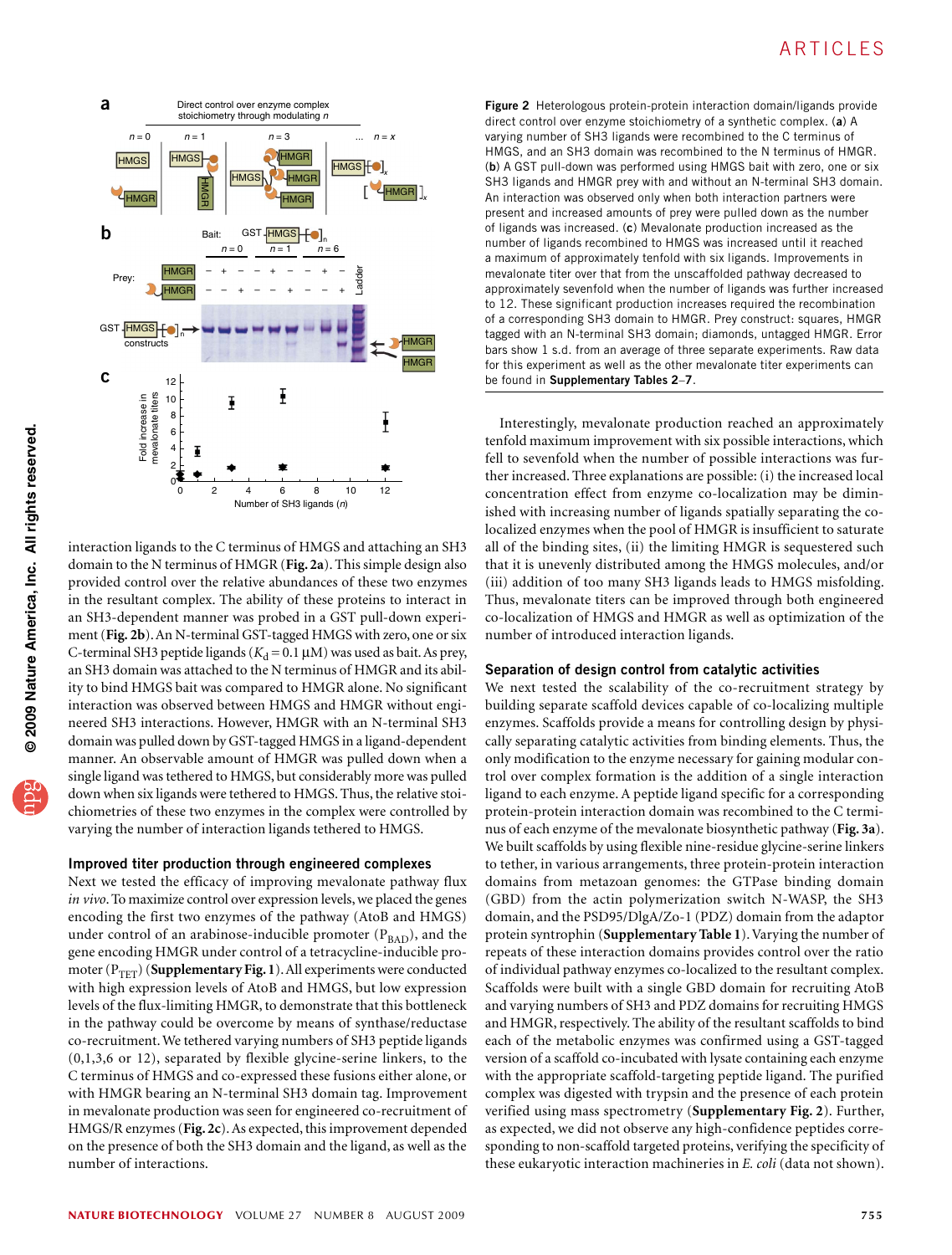

interaction ligands to the C terminus of HMGS and attaching an SH3 domain to the N terminus of HMGR (**[Fig. 2a](#page-2-0)**). This simple design also provided control over the relative abundances of these two enzymes in the resultant complex. The ability of these proteins to interact in an SH3-dependent manner was probed in a GST pull-down experiment (**[Fig.](#page-2-0) 2b**). An N-terminal GST-tagged HMGS with zero, one or six C-terminal SH3 peptide ligands  $(K_d = 0.1 \,\mu\text{M})$  was used as bait. As prey, an SH3 domain was attached to the N terminus of HMGR and its ability to bind HMGS bait was compared to HMGR alone. No significant interaction was observed between HMGS and HMGR without engineered SH3 interactions. However, HMGR with an N-terminal SH3 domain was pulled down by GST-tagged HMGS in a ligand-dependent manner. An observable amount of HMGR was pulled down when a single ligand was tethered to HMGS, but considerably more was pulled down when six ligands were tethered to HMGS. Thus, the relative stoichiometries of these two enzymes in the complex were controlled by varying the number of interaction ligands tethered to HMGS.

### **Improved titer production through engineered complexes**

Next we tested the efficacy of improving mevalonate pathway flux *in vivo*. To maximize control over expression levels, we placed the genes encoding the first two enzymes of the pathway (AtoB and HMGS) under control of an arabinose-inducible promoter  $(P_{BAD})$ , and the gene encoding HMGR under control of a tetracycline-inducible promoter (P<sub>TET</sub>) (**Supplementary Fig. 1**). All experiments were conducted with high expression levels of AtoB and HMGS, but low expression levels of the flux-limiting HMGR, to demonstrate that this bottleneck in the pathway could be overcome by means of synthase/reductase co-recruitment. We tethered varying numbers of SH3 peptide ligands (0,1,3,6 or 12), separated by flexible glycine-serine linkers, to the C terminus of HMGS and co-expressed these fusions either alone, or with HMGR bearing an N-terminal SH3 domain tag. Improvement in mevalonate production was seen for engineered co-recruitment of HMGS/R enzymes (**[Fig. 2c](#page-2-0)**). As expected, this improvement depended on the presence of both the SH3 domain and the ligand, as well as the number of interactions.

<span id="page-2-0"></span>**Figure 2** Heterologous protein-protein interaction domain/ligands provide direct control over enzyme stoichiometry of a synthetic complex. (**a**) A varying number of SH3 ligands were recombined to the C terminus of HMGS, and an SH3 domain was recombined to the N terminus of HMGR. (**b**) A GST pull-down was performed using HMGS bait with zero, one or six SH3 ligands and HMGR prey with and without an N-terminal SH3 domain. An interaction was observed only when both interaction partners were present and increased amounts of prey were pulled down as the number of ligands was increased. (**c**) Mevalonate production increased as the number of ligands recombined to HMGS was increased until it reached a maximum of approximately tenfold with six ligands. Improvements in mevalonate titer over that from the unscaffolded pathway decreased to approximately sevenfold when the number of ligands was further increased to 12. These significant production increases required the recombination of a corresponding SH3 domain to HMGR. Prey construct: squares, HMGR tagged with an N-terminal SH3 domain; diamonds, untagged HMGR. Error bars show 1 s.d. from an average of three separate experiments. Raw data for this experiment as well as the other mevalonate titer experiments can be found in **Supplementary Tables 2**–**7**.

Interestingly, mevalonate production reached an approximately tenfold maximum improvement with six possible interactions, which fell to sevenfold when the number of possible interactions was further increased. Three explanations are possible: (i) the increased local concentration effect from enzyme co-localization may be diminished with increasing number of ligands spatially separating the colocalized enzymes when the pool of HMGR is insufficient to saturate all of the binding sites, (ii) the limiting HMGR is sequestered such that it is unevenly distributed among the HMGS molecules, and/or (iii) addition of too many SH3 ligands leads to HMGS misfolding. Thus, mevalonate titers can be improved through both engineered co-localization of HMGS and HMGR as well as optimization of the number of introduced interaction ligands.

# **Separation of design control from catalytic activities**

We next tested the scalability of the co-recruitment strategy by building separate scaffold devices capable of co-localizing multiple enzymes. Scaffolds provide a means for controlling design by physically separating catalytic activities from binding elements. Thus, the only modification to the enzyme necessary for gaining modular control over complex formation is the addition of a single interaction ligand to each enzyme. A peptide ligand specific for a corresponding protein-protein interaction domain was recombined to the C terminus of each enzyme of the mevalonate biosynthetic pathway (**[Fig. 3a](#page-3-0)**). We built scaffolds by using flexible nine-residue glycine-serine linkers to tether, in various arrangements, three protein-protein interaction domains from metazoan genomes: the GTPase binding domain (GBD) from the actin polymerization switch N-WASP, the SH3 domain, and the PSD95/DlgA/Zo-1 (PDZ) domain from the adaptor protein syntrophin (**Supplementary Table 1**). Varying the number of repeats of these interaction domains provides control over the ratio of individual pathway enzymes co-localized to the resultant complex. Scaffolds were built with a single GBD domain for recruiting AtoB and varying numbers of SH3 and PDZ domains for recruiting HMGS and HMGR, respectively. The ability of the resultant scaffolds to bind each of the metabolic enzymes was confirmed using a GST-tagged version of a scaffold co-incubated with lysate containing each enzyme with the appropriate scaffold-targeting peptide ligand. The purified complex was digested with trypsin and the presence of each protein verified using mass spectrometry (**Supplementary Fig. 2**). Further, as expected, we did not observe any high-confidence peptides corresponding to non-scaffold targeted proteins, verifying the specificity of these eukaryotic interaction machineries in *E. coli* (data not shown).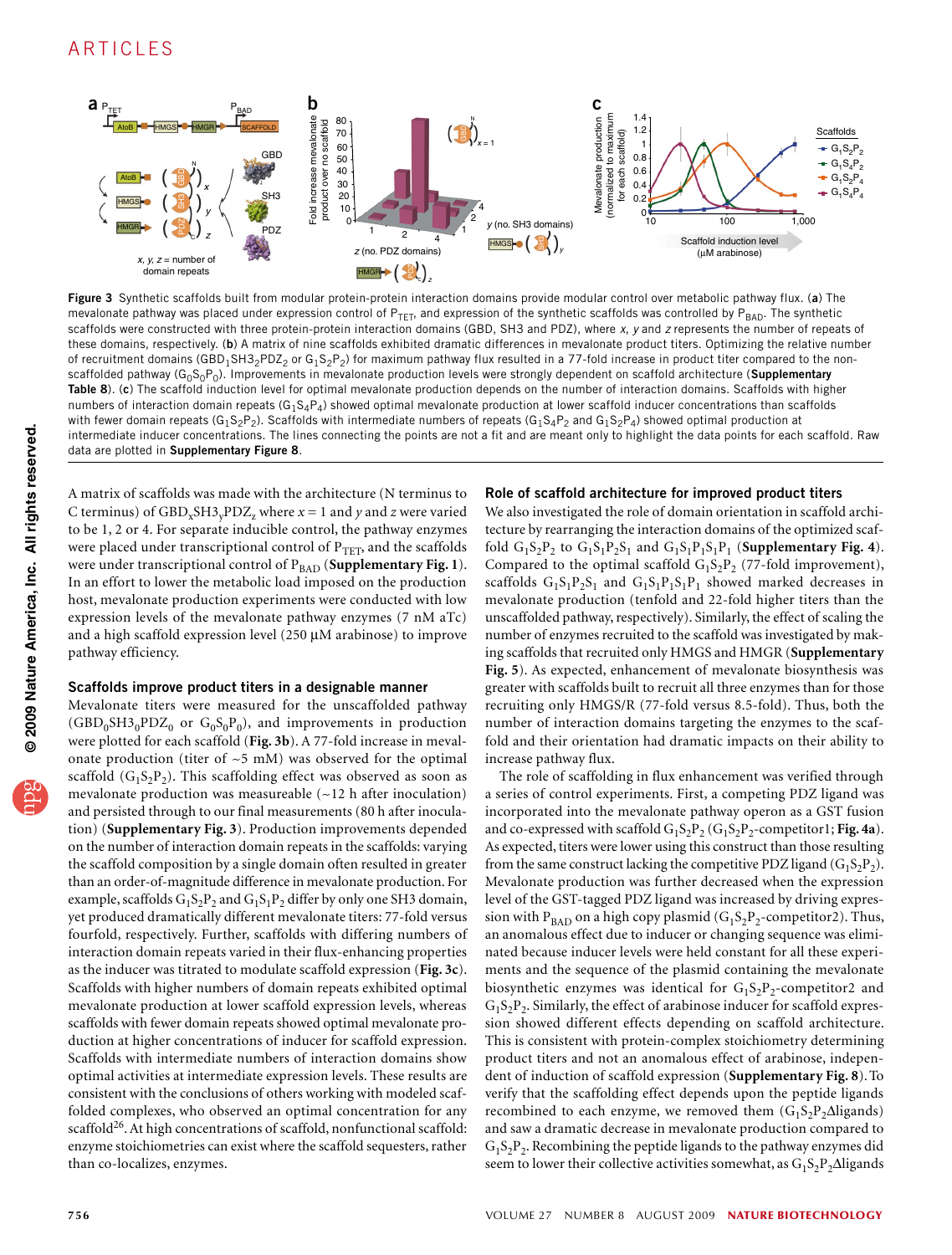

<span id="page-3-0"></span>**Figure 3** Synthetic scaffolds built from modular protein-protein interaction domains provide modular control over metabolic pathway flux. (**a**) The mevalonate pathway was placed under expression control of  $P_{TET}$ , and expression of the synthetic scaffolds was controlled by  $P_{BAD}$ . The synthetic scaffolds were constructed with three protein-protein interaction domains (GBD, SH3 and PDZ), where *x*, *y* and *z* represents the number of repeats of these domains, respectively. (**b**) A matrix of nine scaffolds exhibited dramatic differences in mevalonate product titers. Optimizing the relative number of recruitment domains (GBD<sub>1</sub>SH3<sub>2</sub>PDZ<sub>2</sub> or G<sub>1</sub>S<sub>2</sub>P<sub>2</sub>) for maximum pathway flux resulted in a 77-fold increase in product titer compared to the nonscaffolded pathway (G<sub>0</sub>S<sub>0</sub>P<sub>0</sub>). Improvements in mevalonate production levels were strongly dependent on scaffold architecture (Supplementary **Table 8**). (**c**) The scaffold induction level for optimal mevalonate production depends on the number of interaction domains. Scaffolds with higher numbers of interaction domain repeats (G<sub>1</sub>S<sub>4</sub>P<sub>4</sub>) showed optimal mevalonate production at lower scaffold inducer concentrations than scaffolds with fewer domain repeats (G<sub>1</sub>S<sub>2</sub>P<sub>2</sub>). Scaffolds with intermediate numbers of repeats (G<sub>1</sub>S<sub>4</sub>P<sub>2</sub> and G<sub>1</sub>S<sub>2</sub>P<sub>4</sub>) showed optimal production at intermediate inducer concentrations. The lines connecting the points are not a fit and are meant only to highlight the data points for each scaffold. Raw data are plotted in **Supplementary Figure 8**.

A matrix of scaffolds was made with the architecture (N terminus to C terminus) of  $GBD_xSH3_vPDZ_z$  where  $x = 1$  and  $y$  and  $z$  were varied to be 1, 2 or 4. For separate inducible control, the pathway enzymes were placed under transcriptional control of  $P_{\text{TET}}$ , and the scaffolds were under transcriptional control of P<sub>BAD</sub> (**Supplementary Fig. 1**). In an effort to lower the metabolic load imposed on the production host, mevalonate production experiments were conducted with low expression levels of the mevalonate pathway enzymes (7 nM aTc) and a high scaffold expression level (250 µM arabinose) to improve pathway efficiency.

# **Scaffolds improve product titers in a designable manner**

Mevalonate titers were measured for the unscaffolded pathway  $(GBD_0SH3_0PDZ_0$  or  $G_0S_0P_0$ , and improvements in production were plotted for each scaffold (**[Fig. 3b](#page-3-0)**). A 77-fold increase in mevalonate production (titer of  $\sim$ 5 mM) was observed for the optimal scaffold  $(G_1S_2P_2)$ . This scaffolding effect was observed as soon as mevalonate production was measureable  $(-12$  h after inoculation) and persisted through to our final measurements (80 h after inoculation) (**Supplementary Fig. 3**). Production improvements depended on the number of interaction domain repeats in the scaffolds: varying the scaffold composition by a single domain often resulted in greater than an order-of-magnitude difference in mevalonate production. For example, scaffolds  $G_1S_2P_2$  and  $G_1S_1P_2$  differ by only one SH3 domain, yet produced dramatically different mevalonate titers: 77-fold versus fourfold, respectively. Further, scaffolds with differing numbers of interaction domain repeats varied in their flux-enhancing properties as the inducer was titrated to modulate scaffold expression (**[Fig. 3c](#page-3-0)**). Scaffolds with higher numbers of domain repeats exhibited optimal mevalonate production at lower scaffold expression levels, whereas scaffolds with fewer domain repeats showed optimal mevalonate production at higher concentrations of inducer for scaffold expression. Scaffolds with intermediate numbers of interaction domains show optimal activities at intermediate expression levels. These results are consistent with the conclusions of others working with modeled scaffolded complexes, who observed an optimal concentration for any scaffold<sup>[26](#page-6-10)</sup>. At high concentrations of scaffold, nonfunctional scaffold: enzyme stoichiometries can exist where the scaffold sequesters, rather than co-localizes, enzymes.

## **Role of scaffold architecture for improved product titers**

We also investigated the role of domain orientation in scaffold architecture by rearranging the interaction domains of the optimized scaffold  $G_1S_2P_2$  to  $G_1S_1P_2S_1$  and  $G_1S_1P_1S_1P_1$  (**Supplementary Fig. 4**). Compared to the optimal scaffold  $G_1S_2P_2$  (77-fold improvement), scaffolds  $G_1S_1P_2S_1$  and  $G_1S_1P_1S_1P_1$  showed marked decreases in mevalonate production (tenfold and 22-fold higher titers than the unscaffolded pathway, respectively). Similarly, the effect of scaling the number of enzymes recruited to the scaffold was investigated by making scaffolds that recruited only HMGS and HMGR (**Supplementary Fig. 5**). As expected, enhancement of mevalonate biosynthesis was greater with scaffolds built to recruit all three enzymes than for those recruiting only HMGS/R (77-fold versus 8.5-fold). Thus, both the number of interaction domains targeting the enzymes to the scaffold and their orientation had dramatic impacts on their ability to increase pathway flux.

The role of scaffolding in flux enhancement was verified through a series of control experiments. First, a competing PDZ ligand was incorporated into the mevalonate pathway operon as a GST fusion and co-expressed with scaffold  $G_1S_2P_2$  ( $G_1S_2P_2$ -competitor1; **[Fig. 4a](#page-4-0)**). As expected, titers were lower using this construct than those resulting from the same construct lacking the competitive PDZ ligand  $(G_1S_2P_2)$ . Mevalonate production was further decreased when the expression level of the GST-tagged PDZ ligand was increased by driving expression with P<sub>BAD</sub> on a high copy plasmid ( $G_1S_2P_2$ -competitor2). Thus, an anomalous effect due to inducer or changing sequence was eliminated because inducer levels were held constant for all these experiments and the sequence of the plasmid containing the mevalonate biosynthetic enzymes was identical for  $G_1S_2P_2$ -competitor2 and  $G_1S_2P_2$ . Similarly, the effect of arabinose inducer for scaffold expression showed different effects depending on scaffold architecture. This is consistent with protein-complex stoichiometry determining product titers and not an anomalous effect of arabinose, independent of induction of scaffold expression (**Supplementary Fig. 8**).To verify that the scaffolding effect depends upon the peptide ligands recombined to each enzyme, we removed them  $(G_1S_2P_2\Delta\text{ligands})$ and saw a dramatic decrease in mevalonate production compared to  $G_1S_2P_2$ . Recombining the peptide ligands to the pathway enzymes did seem to lower their collective activities somewhat, as  $G_1S_2P_2\Delta$ ligands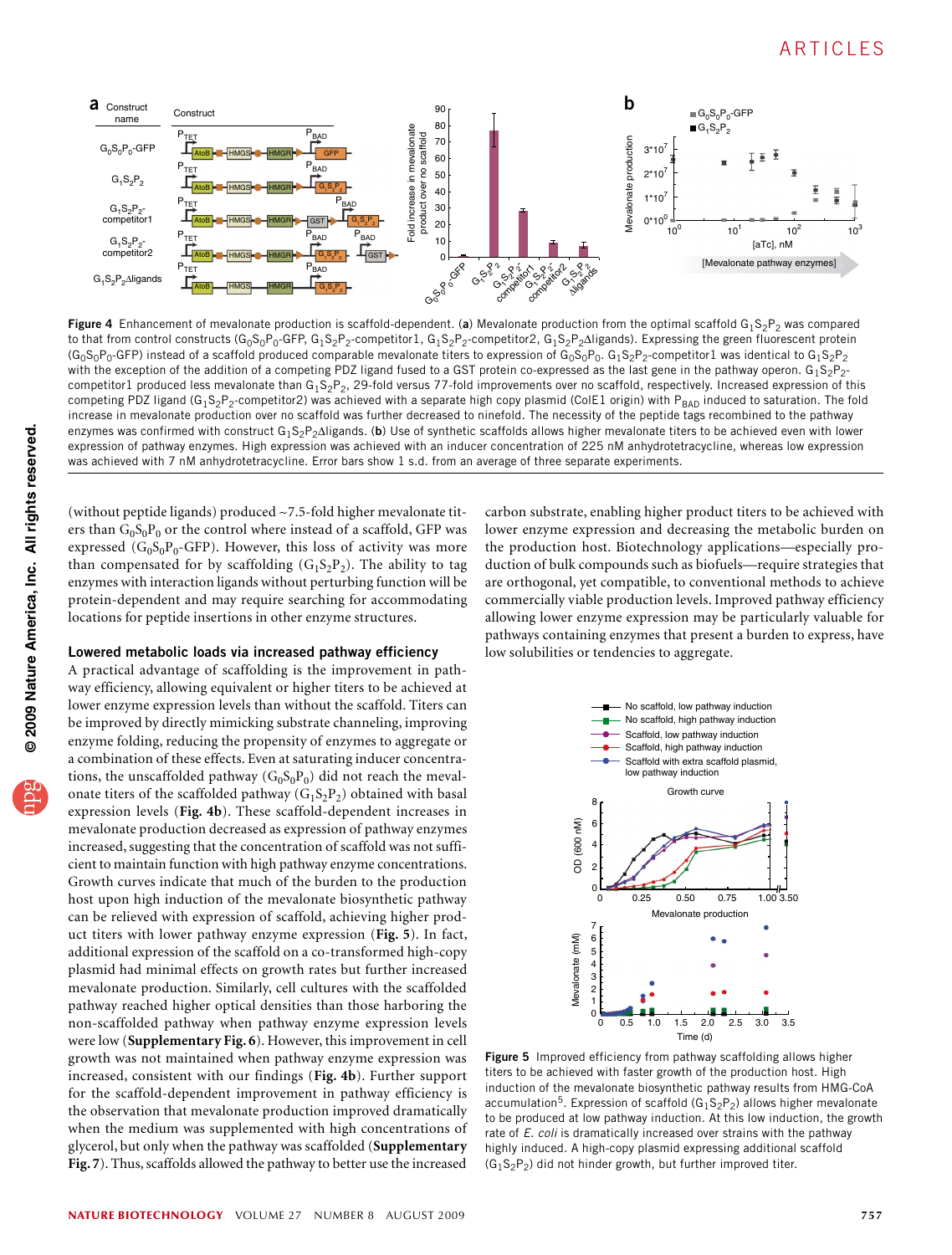# **ARTICLES**



<span id="page-4-0"></span>**Figure 4** Enhancement of mevalonate production is scaffold-dependent. (a) Mevalonate production from the optimal scaffold  $G_1S_2P_2$  was compared to that from control constructs (G<sub>0</sub>S<sub>0</sub>P<sub>0</sub>-GFP, G<sub>1</sub>S<sub>2</sub>P<sub>2</sub>-competitor1, G<sub>1</sub>S<sub>2</sub>P<sub>2</sub>-competitor2, G<sub>1</sub>S<sub>2</sub>P<sub>2</sub>∆ligands). Expressing the green fluorescent protein (G<sub>0</sub>S<sub>0</sub>P<sub>0</sub>-GFP) instead of a scaffold produced comparable mevalonate titers to expression of G<sub>0</sub>S<sub>0</sub>P<sub>0</sub>. G<sub>1</sub>S<sub>2</sub>P<sub>2</sub>-competitor1 was identical to G<sub>1</sub>S<sub>2</sub>P<sub>2</sub> with the exception of the addition of a competing PDZ ligand fused to a GST protein co-expressed as the last gene in the pathway operon.  $G_1S_2P_2$ competitor1 produced less mevalonate than  $G_1S_2P_2$ , 29-fold versus 77-fold improvements over no scaffold, respectively. Increased expression of this competing PDZ ligand (G<sub>1</sub>S<sub>2</sub>P<sub>2</sub>-competitor2) was achieved with a separate high copy plasmid (ColE1 origin) with P<sub>BAD</sub> induced to saturation. The fold increase in mevalonate production over no scaffold was further decreased to ninefold. The necessity of the peptide tags recombined to the pathway enzymes was confirmed with construct G<sub>1</sub>S<sub>2</sub>P<sub>2</sub>∆ligands. (**b**) Use of synthetic scaffolds allows higher mevalonate titers to be achieved even with lower expression of pathway enzymes. High expression was achieved with an inducer concentration of 225 nM anhydrotetracycline, whereas low expression was achieved with 7 nM anhydrotetracycline. Error bars show 1 s.d. from an average of three separate experiments.

(without peptide ligands) produced ~7.5-fold higher mevalonate titers than  $G_0S_0P_0$  or the control where instead of a scaffold, GFP was expressed  $(G_0S_0P_0 - GFP)$ . However, this loss of activity was more than compensated for by scaffolding  $(G_1S_2P_2)$ . The ability to tag enzymes with interaction ligands without perturbing function will be protein-dependent and may require searching for accommodating locations for peptide insertions in other enzyme structures.

# **Lowered metabolic loads via increased pathway efficiency**

A practical advantage of scaffolding is the improvement in pathway efficiency, allowing equivalent or higher titers to be achieved at lower enzyme expression levels than without the scaffold. Titers can be improved by directly mimicking substrate channeling, improving enzyme folding, reducing the propensity of enzymes to aggregate or a combination of these effects. Even at saturating inducer concentrations, the unscaffolded pathway ( $G_0S_0P_0$ ) did not reach the mevalonate titers of the scaffolded pathway  $(G_1S_2P_2)$  obtained with basal expression levels (**[Fig. 4b](#page-4-0)**). These scaffold-dependent increases in mevalonate production decreased as expression of pathway enzymes increased, suggesting that the concentration of scaffold was not sufficient to maintain function with high pathway enzyme concentrations. Growth curves indicate that much of the burden to the production host upon high induction of the mevalonate biosynthetic pathway can be relieved with expression of scaffold, achieving higher product titers with lower pathway enzyme expression (**[Fig. 5](#page-4-1)**). In fact, additional expression of the scaffold on a co-transformed high-copy plasmid had minimal effects on growth rates but further increased mevalonate production. Similarly, cell cultures with the scaffolded pathway reached higher optical densities than those harboring the non-scaffolded pathway when pathway enzyme expression levels were low (**Supplementary Fig. 6**). However, this improvement in cell growth was not maintained when pathway enzyme expression was increased, consistent with our findings (**[Fig. 4b](#page-4-0)**). Further support for the scaffold-dependent improvement in pathway efficiency is the observation that mevalonate production improved dramatically when the medium was supplemented with high concentrations of glycerol, but only when the pathway was scaffolded (**Supplementary Fig. 7**). Thus, scaffolds allowed the pathway to better use the increased

carbon substrate, enabling higher product titers to be achieved with lower enzyme expression and decreasing the metabolic burden on the production host. Biotechnology applications—especially production of bulk compounds such as biofuels—require strategies that are orthogonal, yet compatible, to conventional methods to achieve commercially viable production levels. Improved pathway efficiency allowing lower enzyme expression may be particularly valuable for pathways containing enzymes that present a burden to express, have low solubilities or tendencies to aggregate.



<span id="page-4-1"></span>**Figure 5** Improved efficiency from pathway scaffolding allows higher titers to be achieved with faster growth of the production host. High induction of the mevalonate biosynthetic pathway results from HMG-CoA accumulation<sup>[5](#page-5-4)</sup>. Expression of scaffold ( $G_1S_2P_2$ ) allows higher mevalonate to be produced at low pathway induction. At this low induction, the growth rate of *E. coli* is dramatically increased over strains with the pathway highly induced. A high-copy plasmid expressing additional scaffold  $(G_1S_2P_2)$  did not hinder growth, but further improved titer.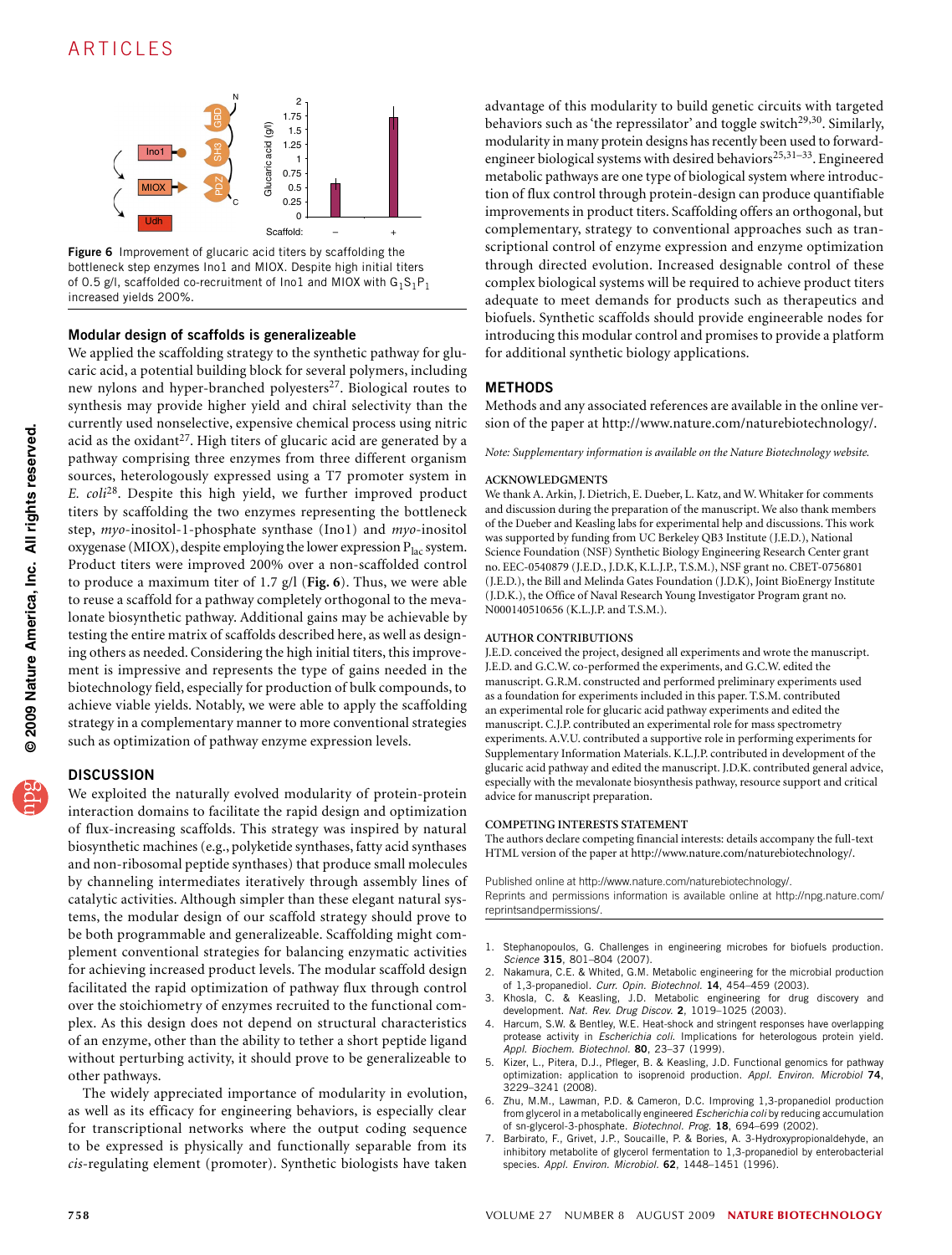

<span id="page-5-5"></span>**Figure 6** Improvement of glucaric acid titers by scaffolding the bottleneck step enzymes Ino1 and MIOX. Despite high initial titers of 0.5 g/l, scaffolded co-recruitment of lno1 and MIOX with  $G_1S_1P_1$ increased yields 200%.

#### **Modular design of scaffolds is generalizeable**

We applied the scaffolding strategy to the synthetic pathway for glucaric acid, a potential building block for several polymers, including new nylons and hyper-branched polyesters<sup>[27](#page-6-11)</sup>. Biological routes to synthesis may provide higher yield and chiral selectivity than the currently used nonselective, expensive chemical process using nitric acid as the oxidant<sup>27</sup>. High titers of glucaric acid are generated by a pathway comprising three enzymes from three different organism sources, heterologously expressed using a T7 promoter system in *E. coli*[28](#page-6-12). Despite this high yield, we further improved product titers by scaffolding the two enzymes representing the bottleneck step, *myo*-inositol-1-phosphate synthase (Ino1) and *myo*-inositol oxygenase (MIOX), despite employing the lower expression  $P_{lac}$  system. Product titers were improved 200% over a non-scaffolded control to produce a maximum titer of 1.7 g/l (**[Fig. 6](#page-5-5)**). Thus, we were able to reuse a scaffold for a pathway completely orthogonal to the mevalonate biosynthetic pathway. Additional gains may be achievable by testing the entire matrix of scaffolds described here, as well as designing others as needed. Considering the high initial titers, this improvement is impressive and represents the type of gains needed in the biotechnology field, especially for production of bulk compounds, to achieve viable yields. Notably, we were able to apply the scaffolding strategy in a complementary manner to more conventional strategies such as optimization of pathway enzyme expression levels.

# **DISCUSSION**

We exploited the naturally evolved modularity of protein-protein interaction domains to facilitate the rapid design and optimization of flux-increasing scaffolds. This strategy was inspired by natural biosynthetic machines (e.g., polyketide synthases, fatty acid synthases and non-ribosomal peptide synthases) that produce small molecules by channeling intermediates iteratively through assembly lines of catalytic activities. Although simpler than these elegant natural systems, the modular design of our scaffold strategy should prove to be both programmable and generalizeable. Scaffolding might complement conventional strategies for balancing enzymatic activities for achieving increased product levels. The modular scaffold design facilitated the rapid optimization of pathway flux through control over the stoichiometry of enzymes recruited to the functional complex. As this design does not depend on structural characteristics of an enzyme, other than the ability to tether a short peptide ligand without perturbing activity, it should prove to be generalizeable to other pathways.

The widely appreciated importance of modularity in evolution, as well as its efficacy for engineering behaviors, is especially clear for transcriptional networks where the output coding sequence to be expressed is physically and functionally separable from its *cis*-regulating element (promoter). Synthetic biologists have taken

advantage of this modularity to build genetic circuits with targeted behaviors such as 'the repressilator' and toggle switch<sup>29,30</sup>. Similarly, modularity in many protein designs has recently been used to forwardengineer biological systems with desired behaviors<sup>25,31–33</sup>. Engineered metabolic pathways are one type of biological system where introduction of flux control through protein-design can produce quantifiable improvements in product titers. Scaffolding offers an orthogonal, but complementary, strategy to conventional approaches such as transcriptional control of enzyme expression and enzyme optimization through directed evolution. Increased designable control of these complex biological systems will be required to achieve product titers adequate to meet demands for products such as therapeutics and biofuels. Synthetic scaffolds should provide engineerable nodes for introducing this modular control and promises to provide a platform for additional synthetic biology applications.

# **Methods**

Methods and any associated references are available in the online version of the paper at http://www.nature.com/naturebiotechnology/.

*Note: Supplementary information is available on the Nature [Biotechnology](http://www.nature.com/naturebiotechnology/) website.*

#### **Acknowledgments**

We thank A. Arkin, J. Dietrich, E. Dueber, L. Katz, and W. Whitaker for comments and discussion during the preparation of the manuscript. We also thank members of the Dueber and Keasling labs for experimental help and discussions. This work was supported by funding from UC Berkeley QB3 Institute (J.E.D.), National Science Foundation (NSF) Synthetic Biology Engineering Research Center grant no. EEC-0540879 (J.E.D., J.D.K, K.L.J.P., T.S.M.), NSF grant no. CBET-0756801 (J.E.D.), the Bill and Melinda Gates Foundation (J.D.K), Joint BioEnergy Institute (J.D.K.), the Office of Naval Research Young Investigator Program grant no. N000140510656 (K.L.J.P. and T.S.M.).

#### **Author contributions**

J.E.D. conceived the project, designed all experiments and wrote the manuscript. J.E.D. and G.C.W. co-performed the experiments, and G.C.W. edited the manuscript. G.R.M. constructed and performed preliminary experiments used as a foundation for experiments included in this paper. T.S.M. contributed an experimental role for glucaric acid pathway experiments and edited the manuscript. C.J.P. contributed an experimental role for mass spectrometry experiments. A.V.U. contributed a supportive role in performing experiments for Supplementary Information Materials. K.L.J.P. contributed in development of the glucaric acid pathway and edited the manuscript. J.D.K. contributed general advice, especially with the mevalonate biosynthesis pathway, resource support and critical advice for manuscript preparation.

#### **COMPETING INTERESTS STATEMENT**

The authors declare competing financial interests: details accompany the full-text HTML version of the paper at http://www.nature.com/naturebiotechnology/.

Published online at http://www.nature.com/naturebiotechnology/. Reprints and permissions information is available online at http://npg.nature.com/ reprintsandpermissions/.

- <span id="page-5-0"></span>1. Stephanopoulos, G. Challenges in engineering microbes for biofuels production. *Science* **315**, 801–804 (2007).
- <span id="page-5-1"></span>2. Nakamura, C.E. & Whited, G.M. Metabolic engineering for the microbial production of 1,3-propanediol. *Curr. Opin. Biotechnol.* **14**, 454–459 (2003).
- <span id="page-5-2"></span>3. Khosla, C. & Keasling, J.D. Metabolic engineering for drug discovery and development. *Nat. Rev. Drug Discov.* **2**, 1019–1025 (2003).
- <span id="page-5-3"></span>4. Harcum, S.W. & Bentley, W.E. Heat-shock and stringent responses have overlapping protease activity in *Escherichia coli*. Implications for heterologous protein yield. *Appl. Biochem. Biotechnol.* **80**, 23–37 (1999).
- <span id="page-5-4"></span>5. Kizer, L., Pitera, D.J., Pfleger, B. & Keasling, J.D. Functional genomics for pathway optimization: application to isoprenoid production. *Appl. Environ. Microbiol* **74**, 3229–3241 (2008).
- 6. Zhu, M.M., Lawman, P.D. & Cameron, D.C. Improving 1,3-propanediol production from glycerol in a metabolically engineered *Escherichia coli* by reducing accumulation of sn-glycerol-3-phosphate. *Biotechnol. Prog.* **18**, 694–699 (2002).
- 7. Barbirato, F., Grivet, J.P., Soucaille, P. & Bories, A. 3-Hydroxypropionaldehyde, an inhibitory metabolite of glycerol fermentation to 1,3-propanediol by enterobacterial species. *Appl. Environ. Microbiol.* **62**, 1448–1451 (1996).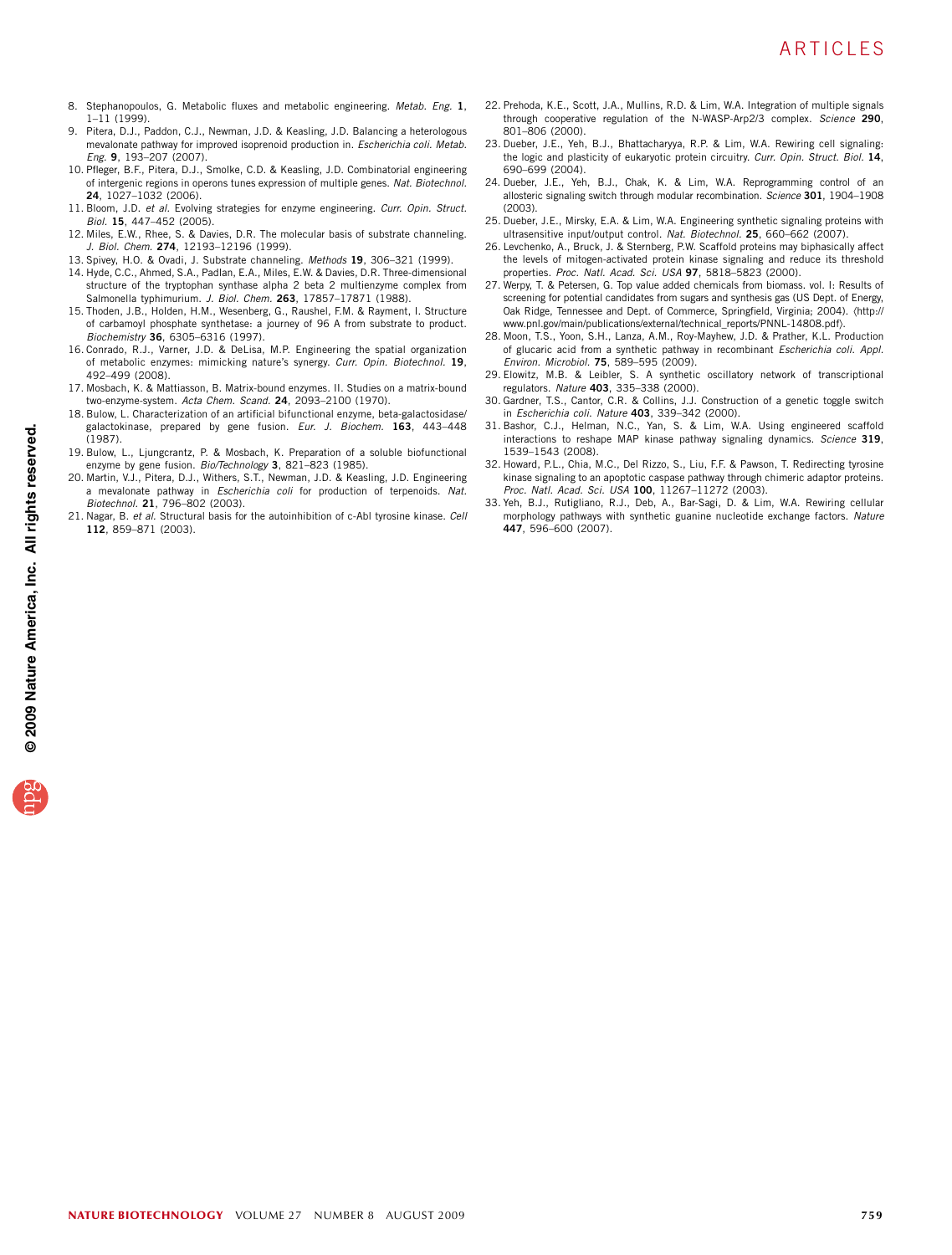- 8. Stephanopoulos, G. Metabolic fluxes and metabolic engineering. *Metab. Eng.* **1**, 1–11 (1999).
- <span id="page-6-9"></span>9. Pitera, D.J., Paddon, C.J., Newman, J.D. & Keasling, J.D. Balancing a heterologous mevalonate pathway for improved isoprenoid production in. *Escherichia coli. Metab. Eng.* **9**, 193–207 (2007).
- 10. Pfleger, B.F., Pitera, D.J., Smolke, C.D. & Keasling, J.D. Combinatorial engineering of intergenic regions in operons tunes expression of multiple genes. *Nat. Biotechnol.* **24**, 1027–1032 (2006).
- <span id="page-6-0"></span>11. Bloom, J.D. *et al.* Evolving strategies for enzyme engineering. *Curr. Opin. Struct. Biol.* **15**, 447–452 (2005).
- <span id="page-6-3"></span>12. Miles, E.W., Rhee, S. & Davies, D.R. The molecular basis of substrate channeling. *J. Biol. Chem.* **274**, 12193–12196 (1999).
- 13. Spivey, H.O. & Ovadi, J. Substrate channeling. *Methods* **19**, 306–321 (1999).
- <span id="page-6-1"></span>14. Hyde, C.C., Ahmed, S.A., Padlan, E.A., Miles, E.W. & Davies, D.R. Three-dimensional structure of the tryptophan synthase alpha 2 beta 2 multienzyme complex from Salmonella typhimurium. *J. Biol. Chem.* **263**, 17857–17871 (1988).
- <span id="page-6-2"></span>15. Thoden, J.B., Holden, H.M., Wesenberg, G., Raushel, F.M. & Rayment, I. Structure of carbamoyl phosphate synthetase: a journey of 96 A from substrate to product. *Biochemistry* **36**, 6305–6316 (1997).
- <span id="page-6-4"></span>16. Conrado, R.J., Varner, J.D. & DeLisa, M.P. Engineering the spatial organization of metabolic enzymes: mimicking nature's synergy. *Curr. Opin. Biotechnol.* **19**, 492–499 (2008).
- <span id="page-6-5"></span>17. Mosbach, K. & Mattiasson, B. Matrix-bound enzymes. II. Studies on a matrix-bound two-enzyme-system. *Acta Chem. Scand.* **24**, 2093–2100 (1970).
- <span id="page-6-6"></span>18. Bulow, L. Characterization of an artificial bifunctional enzyme, beta-galactosidase/ galactokinase, prepared by gene fusion. *Eur. J. Biochem.* **163**, 443–448 (1987).
- <span id="page-6-7"></span>19. Bulow, L., Ljungcrantz, P. & Mosbach, K. Preparation of a soluble biofunctional enzyme by gene fusion. *Bio/Technology* **3**, 821–823 (1985).
- <span id="page-6-8"></span>20. Martin, V.J., Pitera, D.J., Withers, S.T., Newman, J.D. & Keasling, J.D. Engineering a mevalonate pathway in *Escherichia coli* for production of terpenoids. *Nat. Biotechnol.* **21**, 796–802 (2003).
- 21. Nagar, B. *et al.* Structural basis for the autoinhibition of c-Abl tyrosine kinase. *Cell* **112**, 859–871 (2003).
- 22. Prehoda, K.E., Scott, J.A., Mullins, R.D. & Lim, W.A. Integration of multiple signals through cooperative regulation of the N-WASP-Arp2/3 complex. *Science* **290**, 801–806 (2000).
- 23. Dueber, J.E., Yeh, B.J., Bhattacharyya, R.P. & Lim, W.A. Rewiring cell signaling: the logic and plasticity of eukaryotic protein circuitry. *Curr. Opin. Struct. Biol.* **14**, 690–699 (2004).
- 24. Dueber, J.E., Yeh, B.J., Chak, K. & Lim, W.A. Reprogramming control of an allosteric signaling switch through modular recombination. *Science* **301**, 1904–1908 (2003).
- <span id="page-6-13"></span>25. Dueber, J.E., Mirsky, E.A. & Lim, W.A. Engineering synthetic signaling proteins with ultrasensitive input/output control. *Nat. Biotechnol.* **25**, 660–662 (2007).
- <span id="page-6-10"></span>26. Levchenko, A., Bruck, J. & Sternberg, P.W. Scaffold proteins may biphasically affect the levels of mitogen-activated protein kinase signaling and reduce its threshold properties. *Proc. Natl. Acad. Sci. USA* **97**, 5818–5823 (2000).
- <span id="page-6-11"></span>27. Werpy, T. & Petersen, G. Top value added chemicals from biomass. vol. I: Results of screening for potential candidates from sugars and synthesis gas (US Dept. of Energy, Oak Ridge, Tennessee and Dept. of Commerce, Springfield, Virginia; 2004). 〈http:// www.pnl.gov/main/publications/external/technical\_reports/PNNL-14808.pdf〉.
- <span id="page-6-12"></span>28. Moon, T.S., Yoon, S.H., Lanza, A.M., Roy-Mayhew, J.D. & Prather, K.L. Production of glucaric acid from a synthetic pathway in recombinant *Escherichia coli*. *Appl. Environ. Microbiol.* **75**, 589–595 (2009).
- 29. Elowitz, M.B. & Leibler, S. A synthetic oscillatory network of transcriptional regulators. *Nature* **403**, 335–338 (2000).
- 30. Gardner, T.S., Cantor, C.R. & Collins, J.J. Construction of a genetic toggle switch in *Escherichia coli*. *Nature* **403**, 339–342 (2000).
- 31. Bashor, C.J., Helman, N.C., Yan, S. & Lim, W.A. Using engineered scaffold interactions to reshape MAP kinase pathway signaling dynamics. *Science* **319**, 1539–1543 (2008).
- 32. Howard, P.L., Chia, M.C., Del Rizzo, S., Liu, F.F. & Pawson, T. Redirecting tyrosine kinase signaling to an apoptotic caspase pathway through chimeric adaptor proteins. *Proc. Natl. Acad. Sci. USA* **100**, 11267–11272 (2003).
- 33. Yeh, B.J., Rutigliano, R.J., Deb, A., Bar-Sagi, D. & Lim, W.A. Rewiring cellular morphology pathways with synthetic guanine nucleotide exchange factors. *Nature* **447**, 596–600 (2007).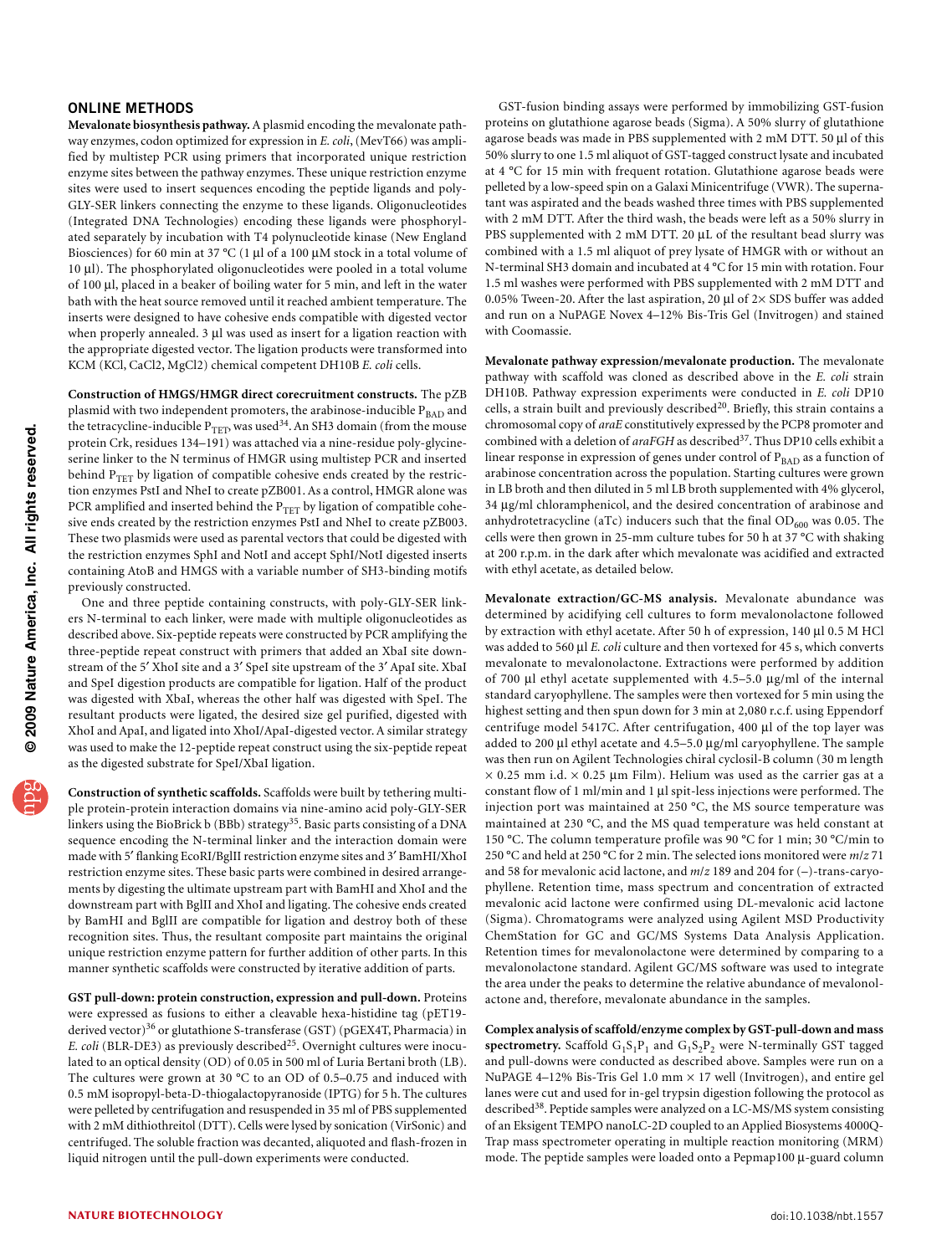# **ONLINE METHODS**

**Mevalonate biosynthesis pathway.** A plasmid encoding the mevalonate pathway enzymes, codon optimized for expression in *E. coli*, (MevT66) was amplified by multistep PCR using primers that incorporated unique restriction enzyme sites between the pathway enzymes. These unique restriction enzyme sites were used to insert sequences encoding the peptide ligands and poly-GLY-SER linkers connecting the enzyme to these ligands. Oligonucleotides (Integrated DNA Technologies) encoding these ligands were phosphorylated separately by incubation with T4 polynucleotide kinase (New England Biosciences) for 60 min at 37 °C (1  $\mu$ l of a 100  $\mu$ M stock in a total volume of 10 µl). The phosphorylated oligonucleotides were pooled in a total volume of 100 µl, placed in a beaker of boiling water for 5 min, and left in the water bath with the heat source removed until it reached ambient temperature. The inserts were designed to have cohesive ends compatible with digested vector when properly annealed.  $3 \mu l$  was used as insert for a ligation reaction with the appropriate digested vector. The ligation products were transformed into KCM (KCl, CaCl2, MgCl2) chemical competent DH10B *E. coli* cells.

**Construction of HMGS/HMGR direct corecruitment constructs.** The pZB plasmid with two independent promoters, the arabinose-inducible  $P_{\rm BAD}$  and the tetracycline-inducible  $P_{\text{TET}}$ , was used<sup>34</sup>. An SH3 domain (from the mouse protein Crk, residues 134–191) was attached via a nine-residue poly-glycineserine linker to the N terminus of HMGR using multistep PCR and inserted behind  $P_{TET}$  by ligation of compatible cohesive ends created by the restriction enzymes PstI and NheI to create pZB001. As a control, HMGR alone was PCR amplified and inserted behind the  $P_{TET}$  by ligation of compatible cohesive ends created by the restriction enzymes PstI and NheI to create pZB003. These two plasmids were used as parental vectors that could be digested with the restriction enzymes SphI and NotI and accept SphI/NotI digested inserts containing AtoB and HMGS with a variable number of SH3-binding motifs previously constructed.

One and three peptide containing constructs, with poly-GLY-SER linkers N-terminal to each linker, were made with multiple oligonucleotides as described above. Six-peptide repeats were constructed by PCR amplifying the three-peptide repeat construct with primers that added an XbaI site downstream of the 5′ XhoI site and a 3′ SpeI site upstream of the 3′ ApaI site. XbaI and SpeI digestion products are compatible for ligation. Half of the product was digested with XbaI, whereas the other half was digested with SpeI. The resultant products were ligated, the desired size gel purified, digested with XhoI and ApaI, and ligated into XhoI/ApaI-digested vector. A similar strategy was used to make the 12-peptide repeat construct using the six-peptide repeat as the digested substrate for SpeI/XbaI ligation.

**Construction of synthetic scaffolds.** Scaffolds were built by tethering multiple protein-protein interaction domains via nine-amino acid poly-GLY-SER linkers using the BioBrick b (BBb) strategy<sup>35</sup>. Basic parts consisting of a DNA sequence encoding the N-terminal linker and the interaction domain were made with 5′ flanking EcoRI/BglII restriction enzyme sites and 3′ BamHI/XhoI restriction enzyme sites. These basic parts were combined in desired arrangements by digesting the ultimate upstream part with BamHI and XhoI and the downstream part with BglII and XhoI and ligating. The cohesive ends created by BamHI and BglII are compatible for ligation and destroy both of these recognition sites. Thus, the resultant composite part maintains the original unique restriction enzyme pattern for further addition of other parts. In this manner synthetic scaffolds were constructed by iterative addition of parts.

**GST pull-down: protein construction, expression and pull-down.** Proteins were expressed as fusions to either a cleavable hexa-histidine tag (pET19 derived vector)<sup>36</sup> or glutathione S-transferase (GST) (pGEX4T, Pharmacia) in *E. coli* (BLR-DE3) as previously described<sup>25</sup>. Overnight cultures were inoculated to an optical density (OD) of 0.05 in 500 ml of Luria Bertani broth (LB). The cultures were grown at 30 °C to an OD of 0.5–0.75 and induced with 0.5 mM isopropyl-beta-D-thiogalactopyranoside (IPTG) for 5 h. The cultures were pelleted by centrifugation and resuspended in 35 ml of PBS supplemented with 2 mM dithiothreitol (DTT). Cells were lysed by sonication (VirSonic) and centrifuged. The soluble fraction was decanted, aliquoted and flash-frozen in liquid nitrogen until the pull-down experiments were conducted.

GST-fusion binding assays were performed by immobilizing GST-fusion proteins on glutathione agarose beads (Sigma). A 50% slurry of glutathione agarose beads was made in PBS supplemented with 2 mM DTT. 50 µl of this 50% slurry to one 1.5 ml aliquot of GST-tagged construct lysate and incubated at 4 °C for 15 min with frequent rotation. Glutathione agarose beads were pelleted by a low-speed spin on a Galaxi Minicentrifuge (VWR). The supernatant was aspirated and the beads washed three times with PBS supplemented with 2 mM DTT. After the third wash, the beads were left as a 50% slurry in PBS supplemented with 2 mM DTT. 20 µL of the resultant bead slurry was combined with a 1.5 ml aliquot of prey lysate of HMGR with or without an N-terminal SH3 domain and incubated at 4 °C for 15 min with rotation. Four 1.5 ml washes were performed with PBS supplemented with 2 mM DTT and 0.05% Tween-20. After the last aspiration, 20 µl of 2× SDS buffer was added and run on a NuPAGE Novex 4–12% Bis-Tris Gel (Invitrogen) and stained with Coomassie.

**Mevalonate pathway expression/mevalonate production.** The mevalonate pathway with scaffold was cloned as described above in the *E. coli* strain DH10B. Pathway expression experiments were conducted in *E. coli* DP10 cells, a strain built and previously described<sup>20</sup>. Briefly, this strain contains a chromosomal copy of *araE* constitutively expressed by the PCP8 promoter and combined with a deletion of *araFGH* as described<sup>37</sup>. Thus DP10 cells exhibit a linear response in expression of genes under control of  $\mathrm{P_{BAD}}$  as a function of arabinose concentration across the population. Starting cultures were grown in LB broth and then diluted in 5 ml LB broth supplemented with 4% glycerol, 34 µg/ml chloramphenicol, and the desired concentration of arabinose and anhydrotetracycline (aTc) inducers such that the final  $OD_{600}$  was 0.05. The cells were then grown in 25-mm culture tubes for 50 h at 37 °C with shaking at 200 r.p.m. in the dark after which mevalonate was acidified and extracted with ethyl acetate, as detailed below.

**Mevalonate extraction/GC-MS analysis.** Mevalonate abundance was determined by acidifying cell cultures to form mevalonolactone followed by extraction with ethyl acetate. After 50 h of expression, 140 µl 0.5 M HCl was added to 560 µl *E. coli* culture and then vortexed for 45 s, which converts mevalonate to mevalonolactone. Extractions were performed by addition of 700 µl ethyl acetate supplemented with 4.5–5.0 µg/ml of the internal standard caryophyllene. The samples were then vortexed for 5 min using the highest setting and then spun down for 3 min at 2,080 r.c.f. using Eppendorf centrifuge model 5417C. After centrifugation, 400 µl of the top layer was added to 200 µl ethyl acetate and 4.5–5.0 µg/ml caryophyllene. The sample was then run on Agilent Technologies chiral cyclosil-B column (30 m length  $\times$  0.25 mm i.d.  $\times$  0.25 µm Film). Helium was used as the carrier gas at a constant flow of 1 ml/min and 1 µl spit-less injections were performed. The injection port was maintained at 250 °C, the MS source temperature was maintained at 230 °C, and the MS quad temperature was held constant at 150 °C. The column temperature profile was 90 °C for 1 min; 30 °C/min to 250 °C and held at 250 °C for 2 min. The selected ions monitored were *m*/*z* 71 and 58 for mevalonic acid lactone, and *m*/*z* 189 and 204 for (–)-trans-caryophyllene. Retention time, mass spectrum and concentration of extracted mevalonic acid lactone were confirmed using DL-mevalonic acid lactone (Sigma). Chromatograms were analyzed using Agilent MSD Productivity ChemStation for GC and GC/MS Systems Data Analysis Application. Retention times for mevalonolactone were determined by comparing to a mevalonolactone standard. Agilent GC/MS software was used to integrate the area under the peaks to determine the relative abundance of mevalonolactone and, therefore, mevalonate abundance in the samples.

**Complex analysis of scaffold/enzyme complex by GST-pull-down and mass**  spectrometry. Scaffold  $G_1S_1P_1$  and  $G_1S_2P_2$  were N-terminally GST tagged and pull-downs were conducted as described above. Samples were run on a NuPAGE 4–12% Bis-Tris Gel 1.0 mm × 17 well (Invitrogen), and entire gel lanes were cut and used for in-gel trypsin digestion following the protocol as described<sup>38</sup>. Peptide samples were analyzed on a LC-MS/MS system consisting of an Eksigent TEMPO nanoLC-2D coupled to an Applied Biosystems 4000Q-Trap mass spectrometer operating in multiple reaction monitoring (MRM) mode. The peptide samples were loaded onto a Pepmap100 µ-guard column